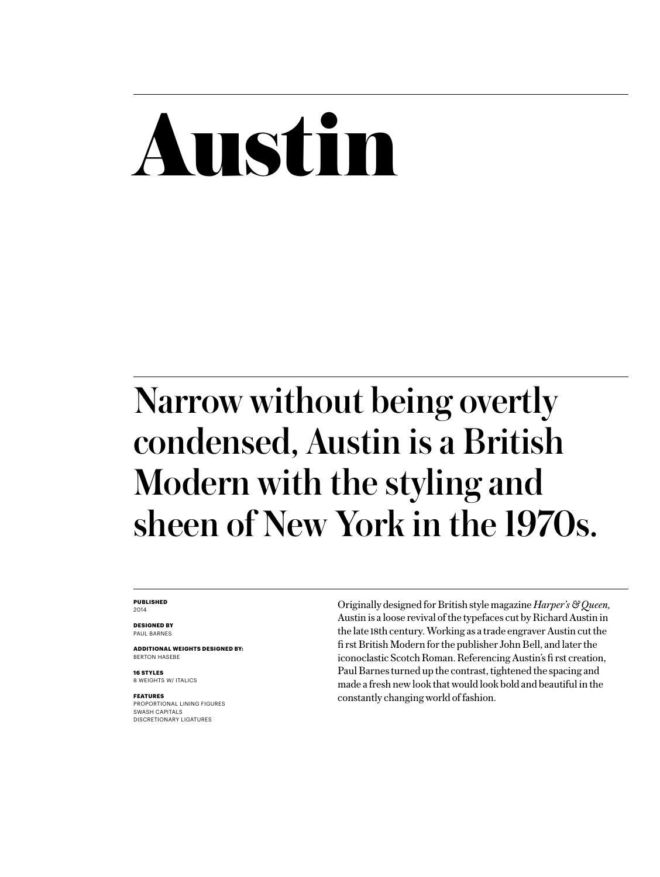## Austin

### Narrow without being overtly condensed, Austin is a British Modern with the styling and sheen of New York in the 1970s.

**PUBLISHED** 2014

**DESIGNED BY** PAUL BARNES

**ADDITIONAL WEIGHTS DESIGNED BY:** BERTON HASEBE

**16 STYLES** 8 WEIGHTS W/ ITALICS

**FEATURES** PROPORTIONAL LINING FIGURES SWASH CAPITALS DISCRETIONARY LIGATURES

Originally designed for British style magazine *Harper's & Queen,* Austin is a loose revival of the typefaces cut by Richard Austin in the late 18th century. Working as a trade engraver Austin cut the fi rst British Modern for the publisher John Bell, and later the iconoclastic Scotch Roman. Referencing Austin's fi rst creation, Paul Barnes turned up the contrast, tightened the spacing and made a fresh new look that would look bold and beautiful in the constantly changing world of fashion.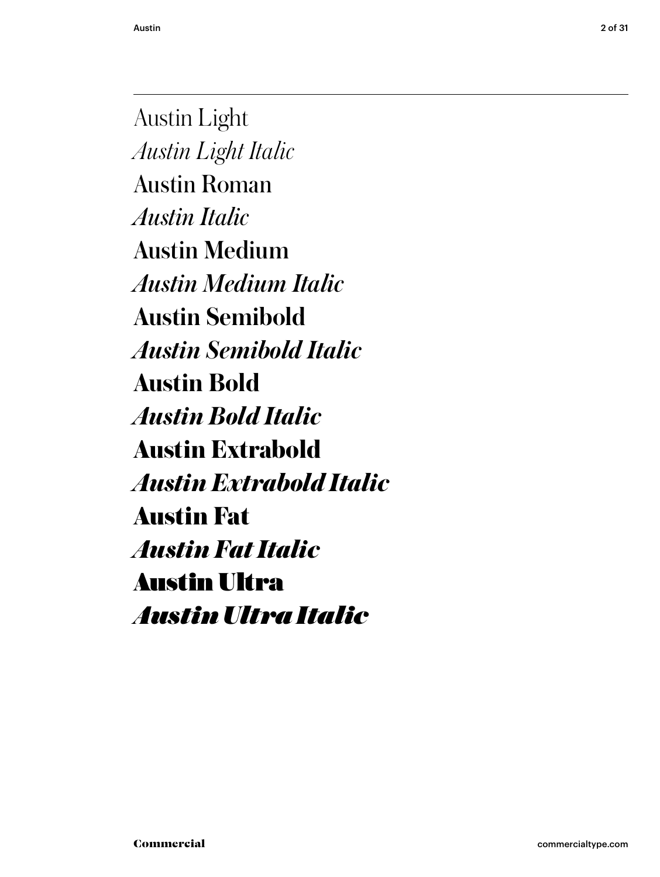Austin 2 of 31

Austin Light *Austin Light Italic* Austin Roman *Austin Italic* Austin Medium *Austin Medium Italic* **Austin Semibold** *Austin Semibold Italic* **Austin Bold** *Austin Bold Italic* **Austin Extrabold** *Austin Extrabold Italic* Austin Fat *Austin Fat Italic* Austin Ultra *Austin Ultra Italic*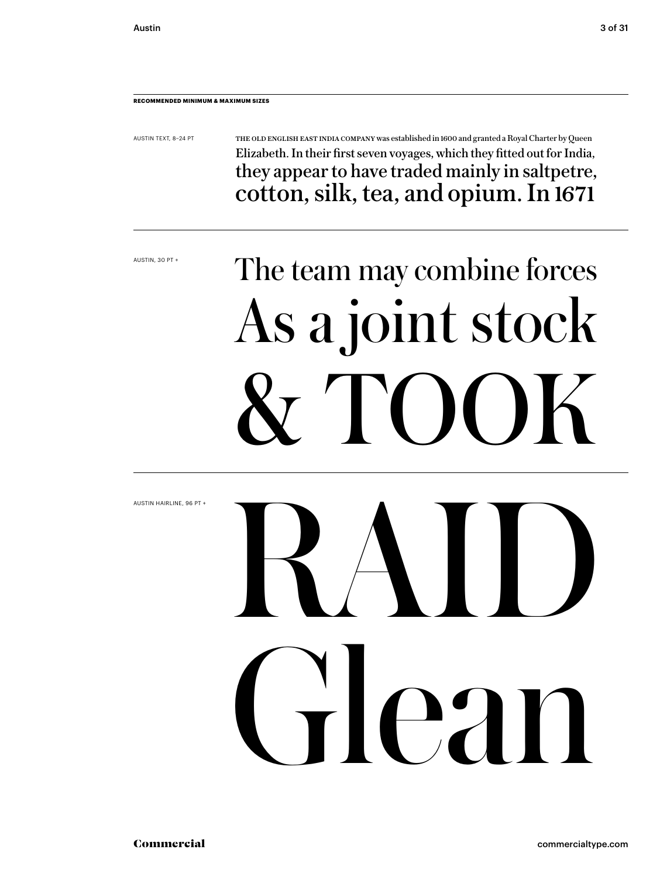### **RECOMMENDED MINIMUM & MAXIMUM SIZES**

AUSTIN TEXT, 8–24 PT

THE OLD ENGLISH EAST INDIA COMPANY was established in 1600 and granted a Royal Charter by Queen Elizabeth. In their first seven voyages, which they fitted out for India, they appear to have traded mainly in saltpetre, cotton, silk, tea, and opium. In 1671

AUSTIN, 30 PT +

## The team may combine forces As a joint stock & TOOK

AUSTIN HAIRLINE, 96 PT + Glean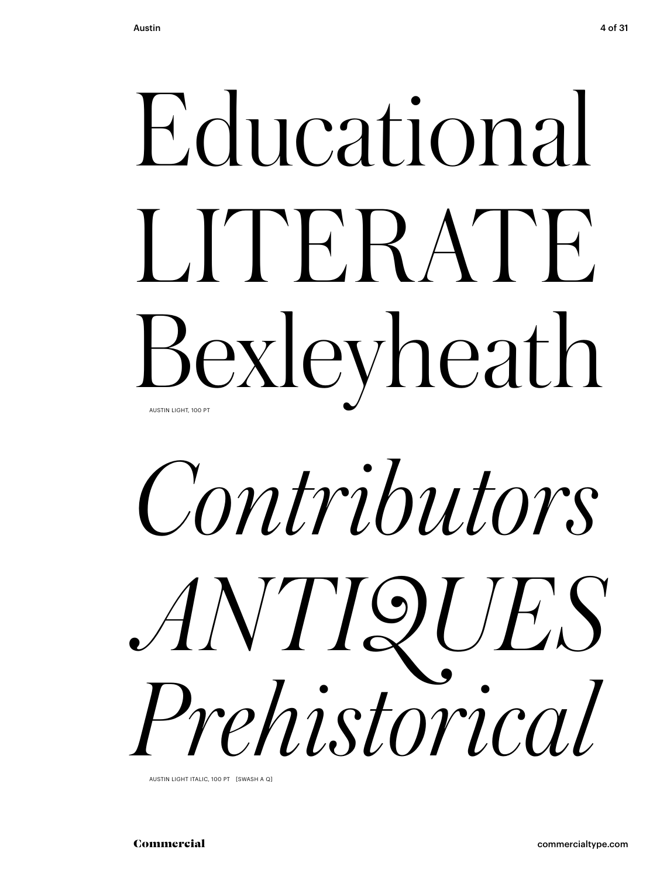# Educational<br>LITERATE<br>Bexleyheath<br>*Contributors*<br>ANTIQUES<br>Prehistorical LITERATE. Bexleyheath AUSTIN LIGHT, 100 PT

## *Contributors ANTIQUES Prehistorical*

AUSTIN LIGHT ITALIC, 100 PT [SWASH A Q]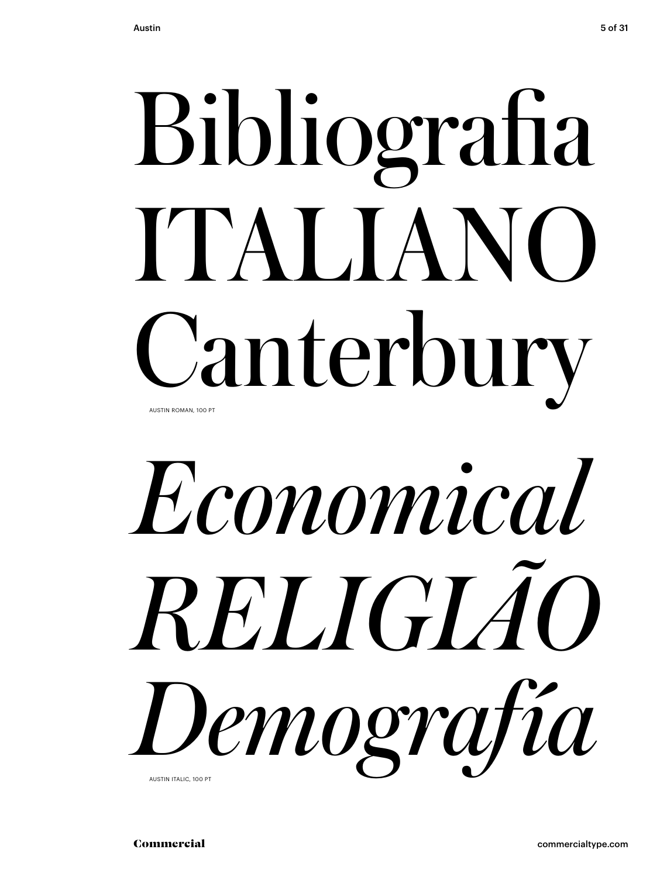## Bibliografia ITALIANO Canterbury AUSTIN ROMAN, 100 PT

## *Economical RELIGIÃO Demografía* AUSTIN ITALIC, 100 PT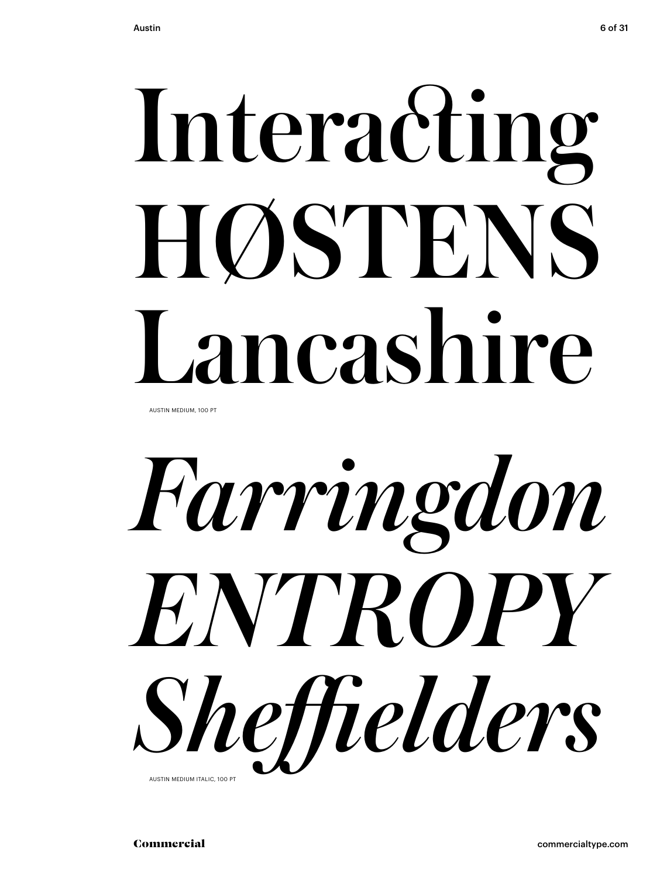# HØSTENS Lancashire

AUSTIN MEDIUM, 100 PT

Interacting<br>HØSTENS<br>Lancashire<br>*Farringdon<br>ENTROPY*<br>S*heffielders Farringdon ENTROPY Sheffi elders* AUSTIN MEDIUM ITALIC, 100 PT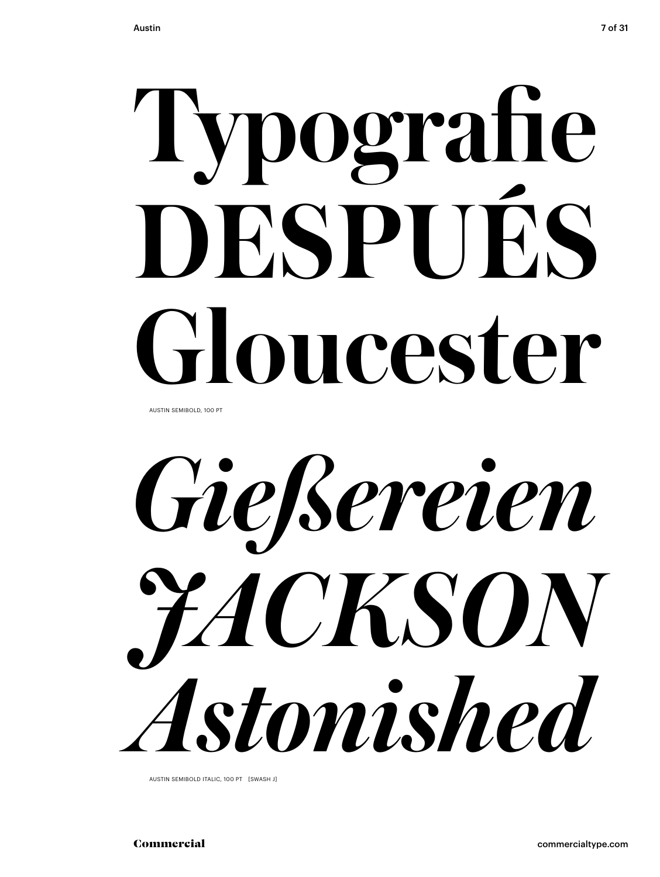## 'Iypografie **DESPUÉS Gloucester**

AUSTIN SEMIBOLD, 100 PT

*Gießereien JACKSON Astonished*

AUSTIN SEMIBOLD ITALIC, 100 PT [SWASH J]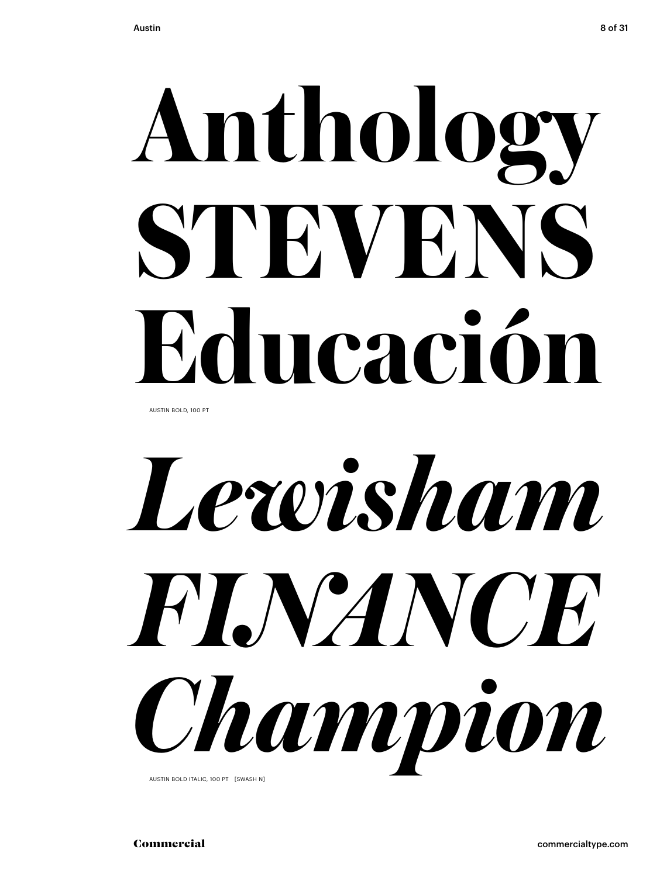# **STEVENS Educación**

AUSTIN BOLD, 100 PT



AUSTIN BOLD ITALIC, 100 PT [SWASH N]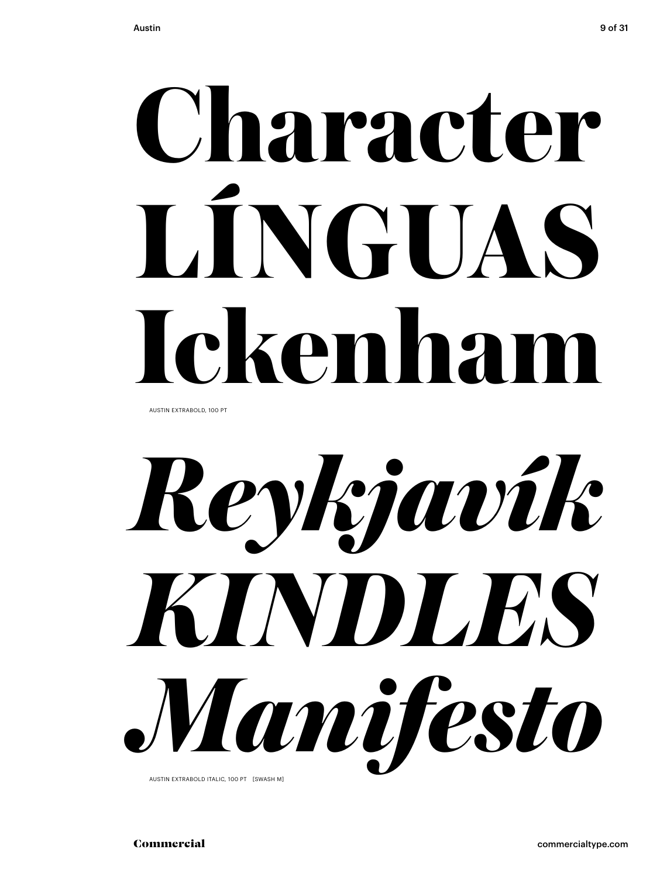# **LÍNGUAS Ickenham**

AUSTIN EXTRABOLD, 100 PT

**Character<br>LÍNGUAS<br>Ickenham<br>***Reykjavík***<br>KINDLES<br>Manifesto** *Reykjavík KINDLES Manifesto* AUSTIN EXTRABOLD ITALIC, 100 PT [SWASH M]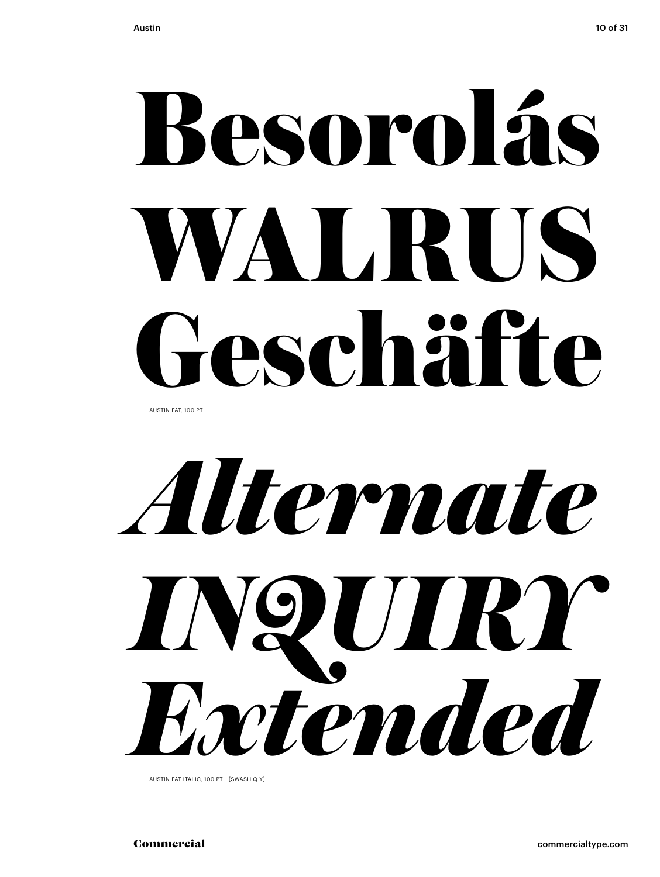# WALRUS Geschäfte

AUSTIN FAT, 100 PT



AUSTIN FAT ITALIC, 100 PT [SWASH Q Y]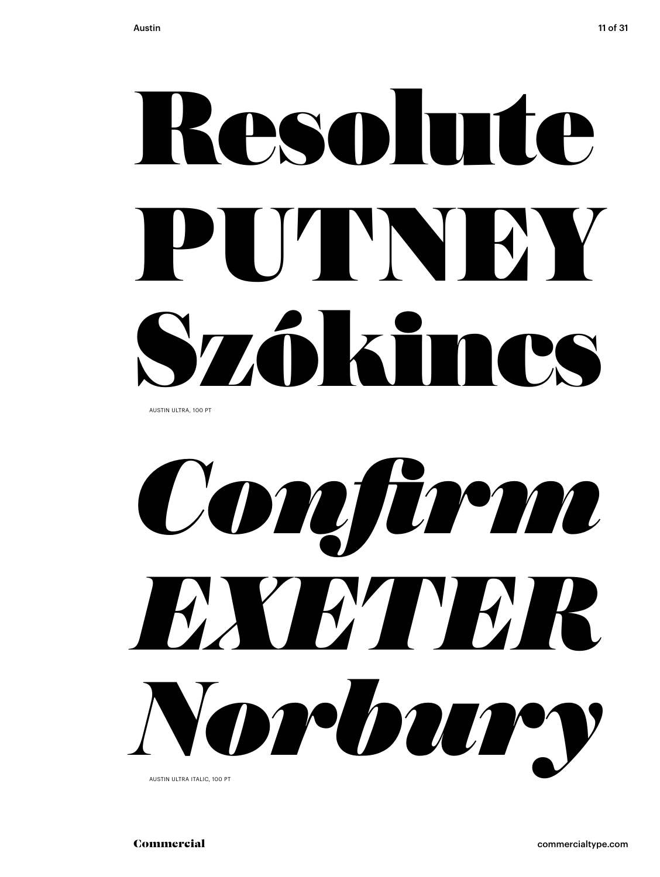# PUTNEY Szókincs

AUSTIN ULTRA, 100 PT



AUSTIN ULTRA ITALIC, 100 PT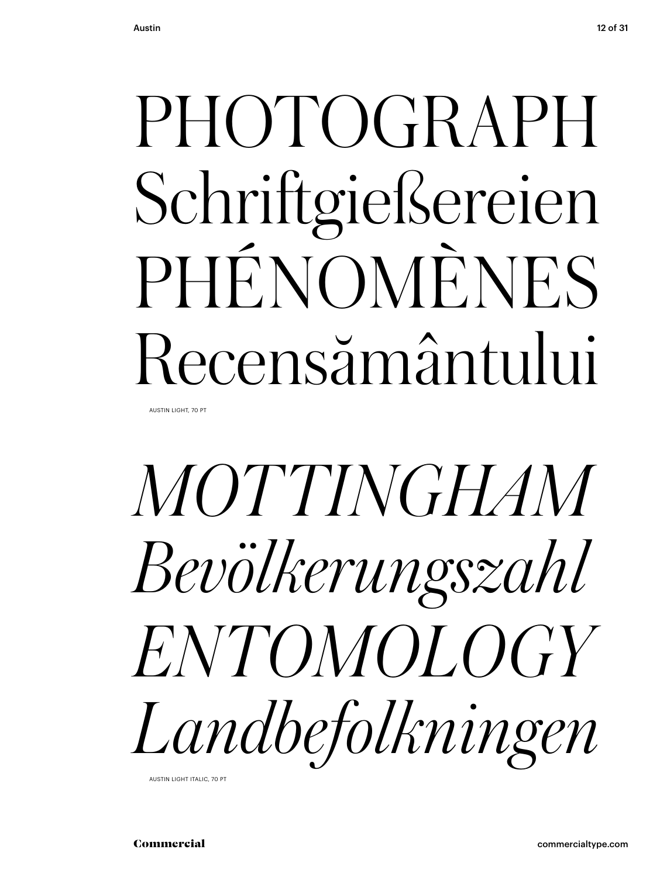## Schriftgießereien PHÉNOMÈNES Recensământului

AUSTIN LIGHT, 70 PT

## PHOTOGRAPH<br>Schriftgießereien<br>PHÉNOMÈNES<br>Recensământului<br>MOTTINGHAM<br>Bevölkerungszahl<br>ENTOMOLOGY<br>Landbefolkningen *MOTTINGHAM Bevölkerungszahl ENTOMOLOGY Landbefolkningen*

AUSTIN LIGHT ITALIC, 70 PT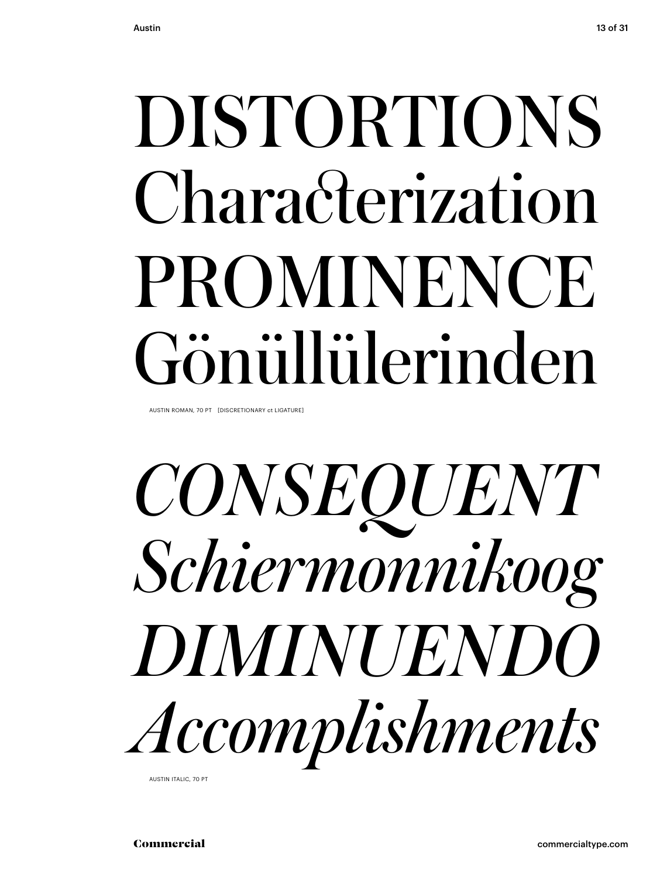## Characterization **PROMINENCE** Gönüllülerinden

AUSTIN ROMAN, 70 PT [DISCRETIONARY ct LIGATURE]

## DISTORTIONS<br>Characterization<br>PROMINENCE<br>Gönüllülerinden<br>*CONSEQUENT*<br>*Schiermonnikoog*<br>DIMINUENDO<br>*Accomplishments CONSEQUENT Schiermonnikoog DIMINUENDO Accomplishments*

AUSTIN ITALIC, 70 PT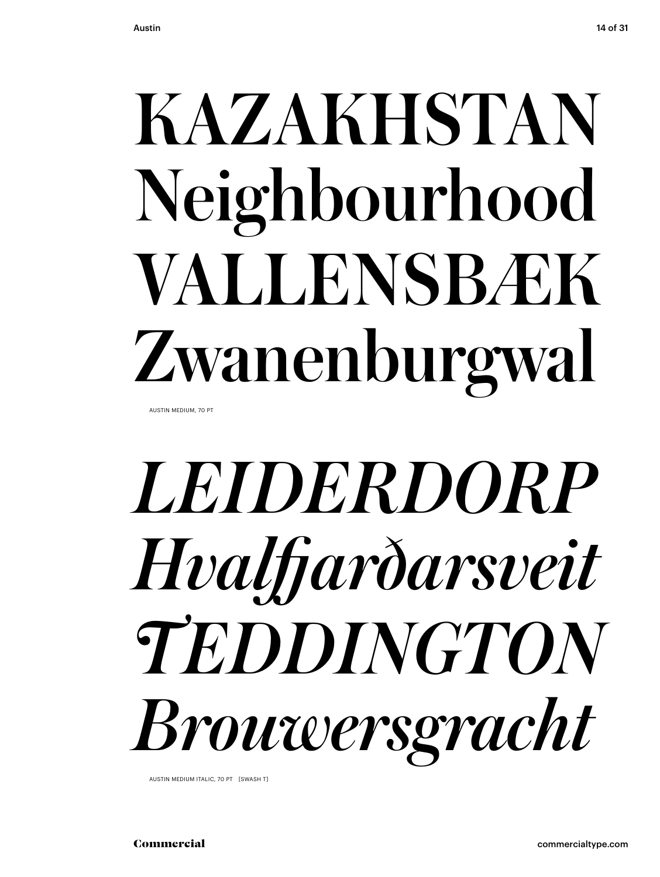## Neighbourhood VALLENSBÆK Zwanenburgwal

AUSTIN MEDIUM, 70 PT

## KAZAKHSTAN<br>Neighbourhood<br>VALLENSBÆK<br>Zwanenburgwal<br>*LEIDERDORP<br>Hvalfjarðarsveit*<br>TEDDINGTON<br>Brouwersgracht *LEIDERDORP Hvalfj arðarsveit TEDDINGTON Brouwersgracht*

AUSTIN MEDIUM ITALIC, 70 PT [SWASH T]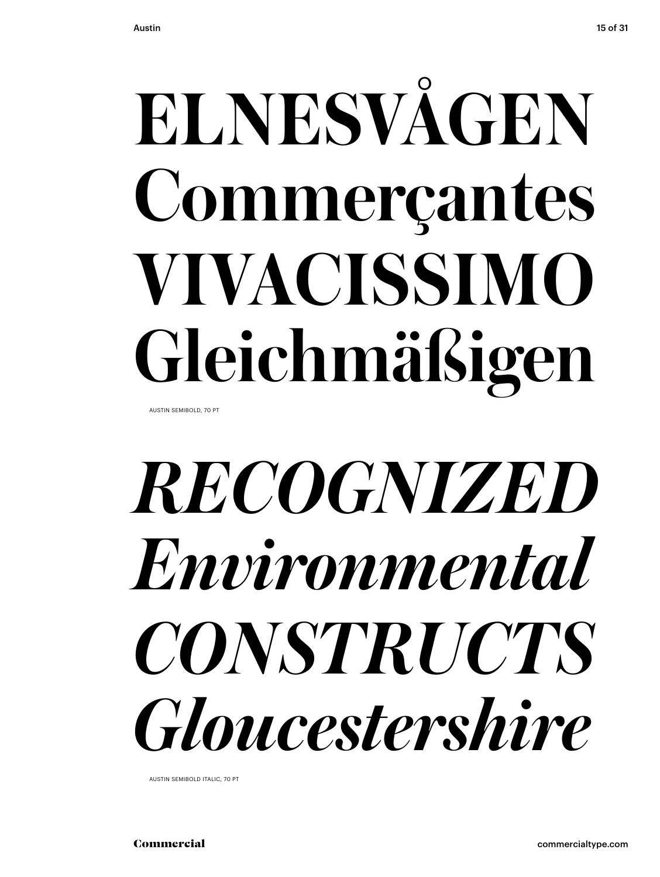# ELNESVÅGEN<br>Commerçantes<br>VIVACISSIMO<br>Gleichmäßigen<br>*RECOGNIZED<br>Environmental<br>CONSTRUCTS*<br>Gloucestershire **Commerçantes VIVACISSIMO Gleichmäßigen**

AUSTIN SEMIBOLD, 70 PT

### *RECOGNIZED Environmental CONSTRUCTS Gloucestershire*

AUSTIN SEMIBOLD ITALIC, 70 PT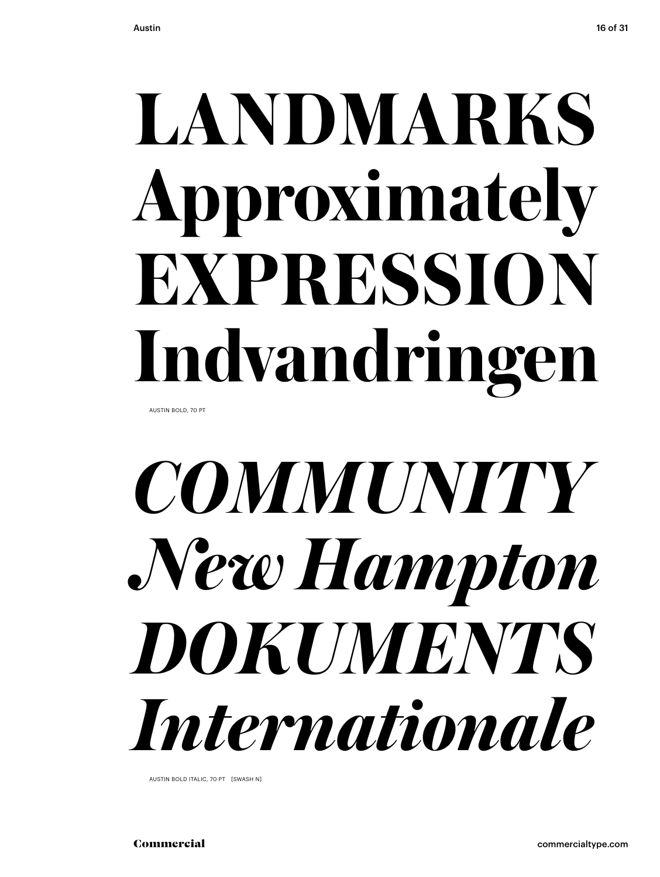# **LANDMARKS<br>Approximately<br>EXPRESSION<br>Indvandringen<br>***COMMUNITY<br>New Hampton***<br>DOKUMENTS<br>Internationale Approximately EXPRESSION Indvandringen**

AUSTIN BOLD, 70 PT

### *COMMUNITY New Hampton DOKUMENTS Internationale*

AUSTIN BOLD ITALIC, 70 PT [SWASH N]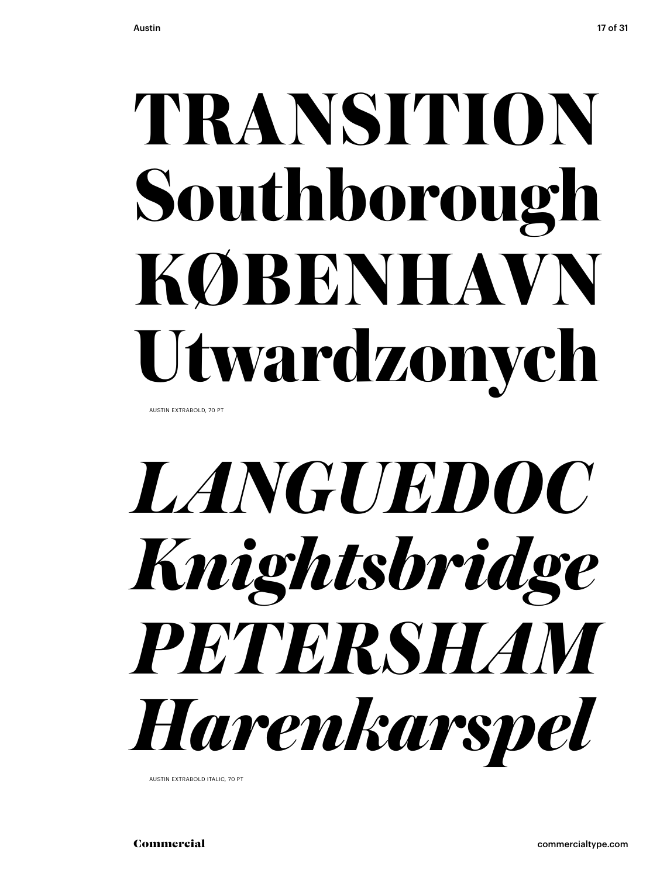# **TRANSITION<br>Southborough<br>KØBENHAVN<br>Utwardzonych<br>***LANGUEDOC<br>Knightsbridge<br>PETERSHAM<br>Harenkarspel* **Southborough KØBENHAVN Utwardzonych**

AUSTIN EXTRABOLD, 70 PT

### *LANGUEDOC Knightsbridge PETERSHAM Harenkarspel*

AUSTIN EXTRABOLD ITALIC, 70 PT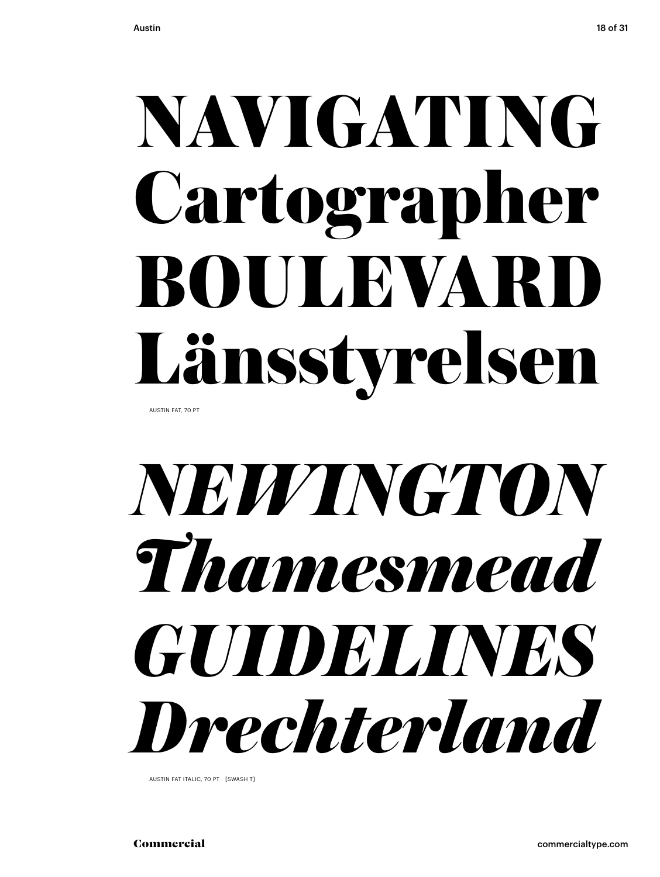# NAVIGATING<br>Cartographer<br>BOULEVARD<br>Länsstyrelsen<br>*NEWINGTON<br>Thamesmead*<br>GUIDELINES<br>Drechterland Cartographer **BOULEVAR** Länsstyrelsen

AUSTIN FAT, 70 PT

### *NEWINGTON Thamesmead GUIDELINES Drechterland*

AUSTIN FAT ITALIC, 70 PT [SWASH T]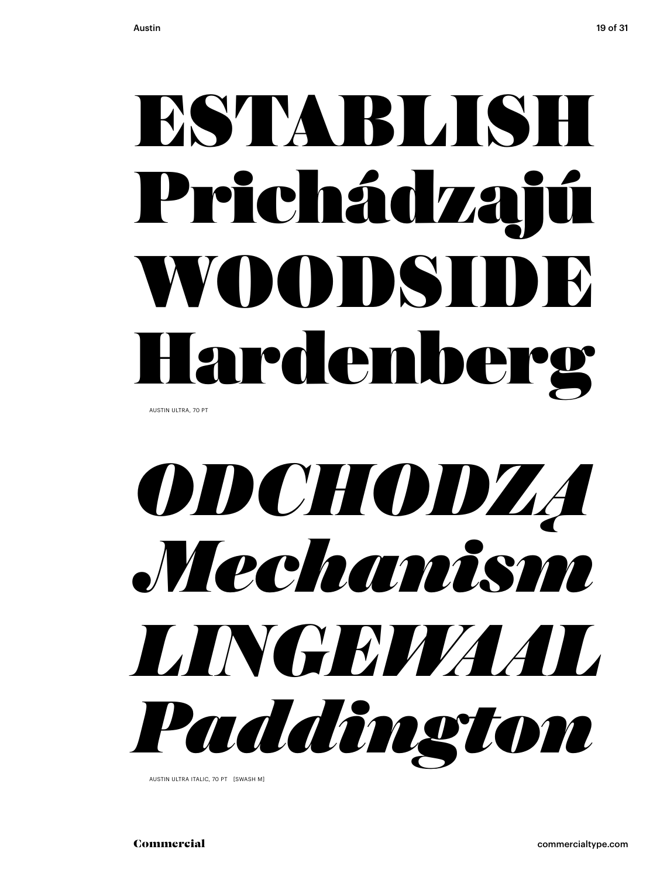## Prichádzajú WOODSIDE Hardenberg

AUSTIN ULTRA, 70 PT

## **ESTABLISH<br>Prichádzajú<br>WOODSIDE<br>Hardenberg<br>***ODCHODZA***<br>Mechanism<br>LINGEWAAL<br>Paddington** *ODCHODZĄ Mechanism LINGEWAAL Paddington*

AUSTIN ULTRA ITALIC, 70 PT [SWASH M]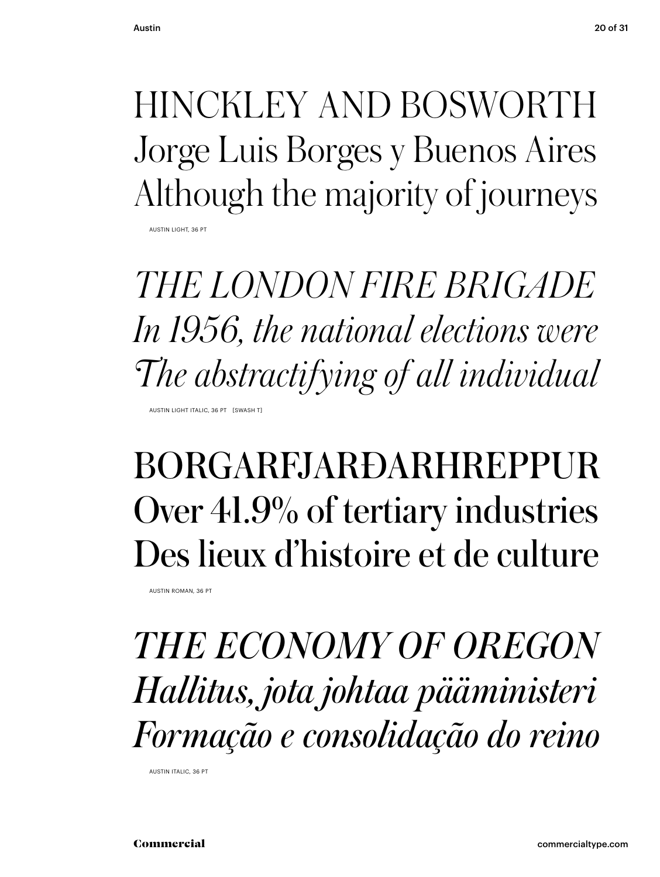Jorge Luis Borges y Buenos Aires Although the majority of journeys

AUSTIN LIGHT, 36 PT

HINCKLEY AND BOSWORTH<br>Jorge Luis Borges y Buenos Aires<br>Although the majority of journeys<br>THE LONDON FIRE BRIGADE<br>In 1956, the national elections were<br>The abstractifying of all individual<br>**BORGARFJARÐARHREPPUR**<br>Over 41.9% o *THE LONDON FIRE BRIGADE In 1956, the national elections were The abstractifying of all individual* AUSTIN LIGHT ITALIC, 36 PT [SWASH T]

### BORGARFJARÐARHREPPUR Over 41.9% of tertiary industries Des lieux d'histoire et de culture

AUSTIN ROMAN, 36 PT

*THE ECONOMY OF OREGON Hallitus, jota johtaa pääministeri Formação e consolidação do reino*

AUSTIN ITALIC, 36 PT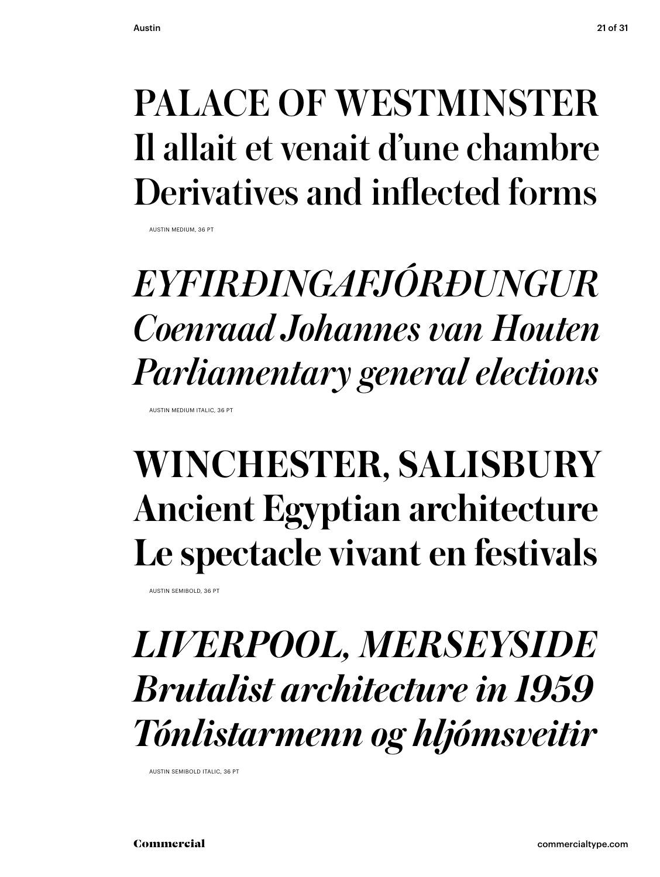### Il allait et venait d'une chambre Derivatives and inflected forms

AUSTIN MEDIUM, 36 PT

## Commercialcommercialtype.comPALACE OF WESTMINSTER *EYFIRÐINGAFJÓRÐUNGUR Coenraad Johannes van Houten Parliamentary general elections* AUSTIN MEDIUM ITALIC, 36 PT

### **WINCHESTER, SALISBURY Ancient Egyptian architecture Le spectacle vivant en festivals**

AUSTIN SEMIBOLD, 36 PT

### *LIVERPOOL, MERSEYSIDE Brutalist architecture in 1959 Tónlistarmenn og hljómsveitir*

AUSTIN SEMIBOLD ITALIC, 36 PT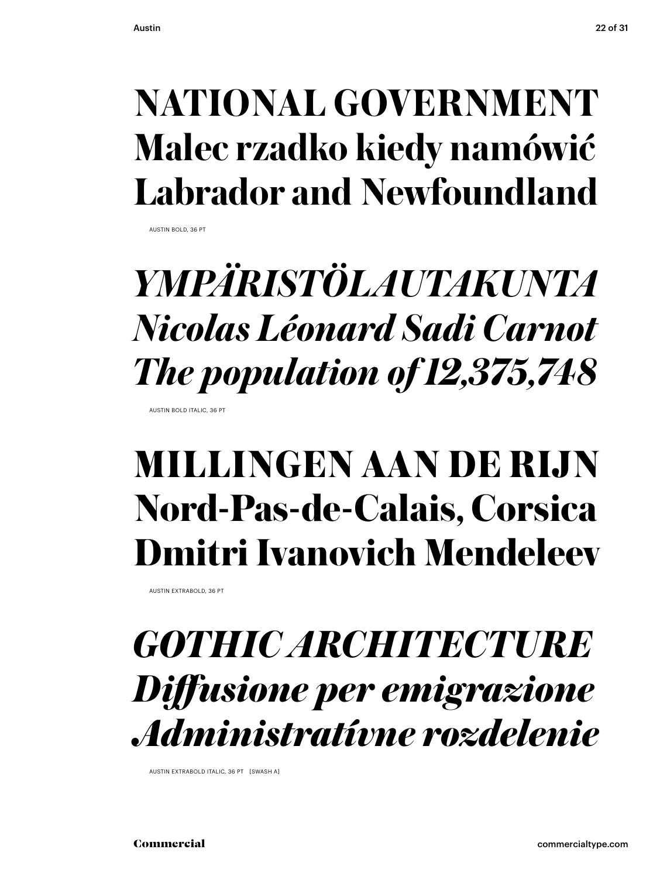### **Malec rzadko kiedy namówić Labrador and Newfoundland**

AUSTIN BOLD, 36 PT

# NATIONAL GOVERNMENT<br>Malec rzadko kiedy namówić<br>Labrador and Newfoundland<br>*YMPÄRISTÖLAUTAKUNTA<br>Nicolas Léonard Sadi Carnot<br>The population of 12,375,748*<br>MILLINGEN AAN DE RIJN<br>Nord-Pas-de-Calais, Corsica<br>Dmitri Ivanovich Men *YMPÄRISTÖLAUTAKUNTA Nicolas Léonard Sadi Carnot The population of 12,375,748*

AUSTIN BOLD ITALIC, 36 PT

### **MILLINGEN AAN DE RIJN Nord-Pas-de-Calais, Corsica Dmitri Ivanovich Mendeleev**

AUSTIN EXTRABOLD, 36 PT

### *GOTHIC ARCHITECTURE Diff usione per emigrazione Administratívne rozdelenie*

AUSTIN EXTRABOLD ITALIC, 36 PT [SWASH A]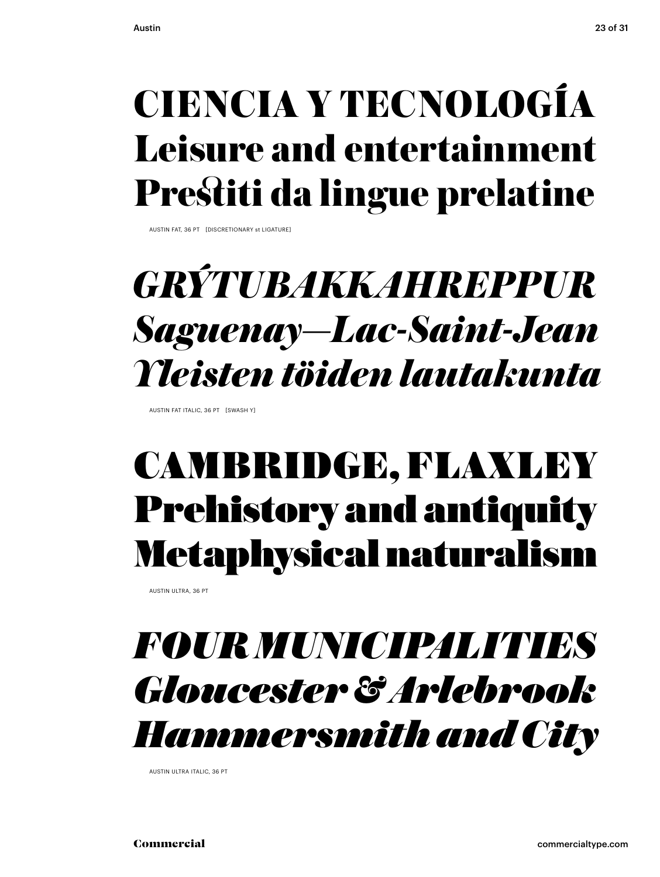### Leisure and entertainment Prestiti da lingue prelatine

AUSTIN FAT, 36 PT [DISCRETIONARY st LIGATURE]

# *CIENCIA Y TECNOLOGÍA<br>Leisure and entertainment<br>Prestiti da lingue prelatine<br>GRÝTUBAKKAHREPPUR<br>Saguenay–Lac-Saint-Jean<br>Yleisten töiden lautakunta<br>CAMBRIDGE, FLAXLEY<br>Prehistory and antiquity<br>Metaphysical naturalism<br>FOUR MUN GRÝTUBAKKAHREPPUR Saguenay—Lac-Saint-Jean Yleisten töiden lautakunta*

AUSTIN FAT ITALIC, 36 PT [SWASH Y]

### CAMBRIDGE, FLAXLEY Prehistory and antiquity Metaphysical naturalism

AUSTIN ULTRA, 36 PT

### *FOUR MUNICIPALITIES Gloucester & Arlebrook Hammersmith and City*

AUSTIN ULTRA ITALIC, 36 PT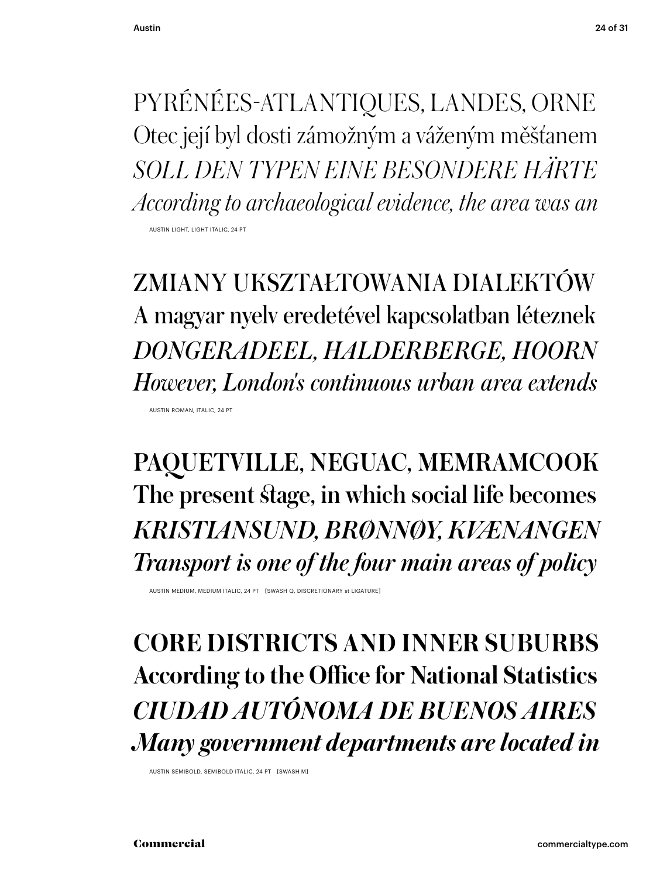Otec její byl dosti zámožným a váženým měšťanem *SOLL DEN TYPEN EINE BESONDERE HÄRTE According to archaeological evidence, the area was an* AUSTIN LIGHT, LIGHT ITALIC, 24 PT

PYRÉNÉES-ATLANTIQUES, LANDES, ORNE<br>Otec její byl dosti zámožným a váženým měšťanem<br>SOLL DEN TYPEN EINE BESONDERE HÄRTE<br>decording to archaeological evidence, the area was an<br>**ZMIANY UKSZTAŁTOWANIA DIALEKTÓW**<br>A magyar nyelv ZMIANY UKSZTAŁTOWANIA DIALEKTÓW A magyar nyelv eredetével kapcsolatban léteznek *DONGERADEEL, HALDERBERGE, HOORN However, London's continuous urban area extends* AUSTIN ROMAN, ITALIC, 24 PT

PAQUETVILLE, NEGUAC, MEMRAMCOOK The present stage, in which social life becomes *KRISTIANSUND, BRØNNØY, KVÆNANGEN Transport is one of the four main areas of policy*

AUSTIN MEDIUM, MEDIUM ITALIC, 24 PT [SWASH Q, DISCRETIONARY st LIGATURE]

**CORE DISTRICTS AND INNER SUBURBS According to the Office for National Statistics** *CIUDAD AUTÓNOMA DE BUENOS AIRES Many government departments are located in*

AUSTIN SEMIBOLD, SEMIBOLD ITALIC, 24 PT [SWASH M]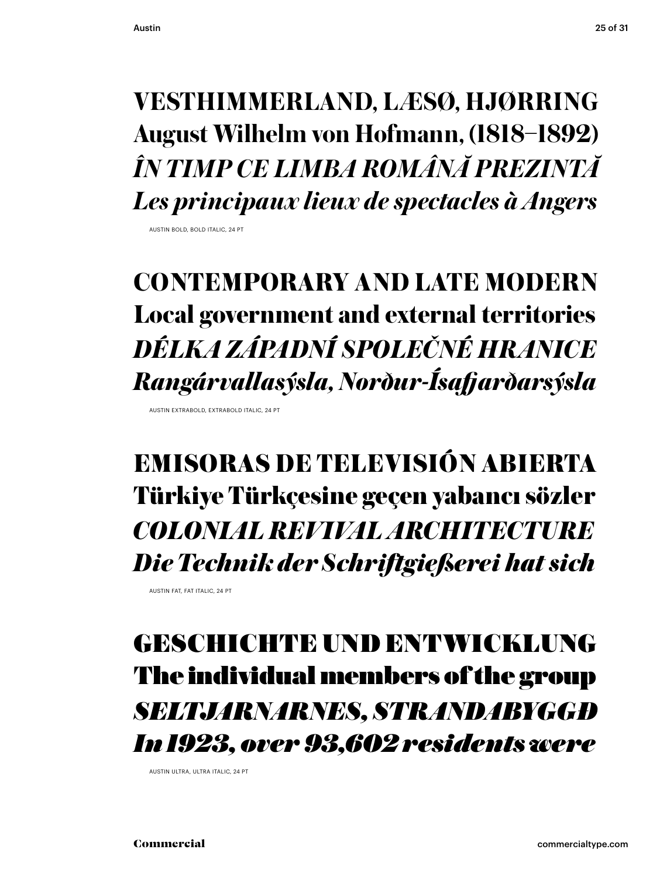### **August Wilhelm von Hofmann, (1818–1892)** *ÎN TIMP CE LIMBA ROMÂNĂ PREZINTĂ Les principaux lieux de spectacles à Angers*

AUSTIN BOLD, BOLD ITALIC, 24 PT

AUSTIN EXTRABOLD, EXTRABOLD ITALIC, 24 PT

## VESTHIMMERLAND, LÆSØ, HJØRRING<br>August Wilhelm von Hofmann, (1818–1892)<br>*İN TIMP CE LIMBA ROMÂNĂ PREZINTĂ<br>Les principaux lieux de spectacles à Angers<br>CONTEMPORARY AND LATE MODERN<br>Local government and external territories<br><i>D* **CONTEMPORARY AND LATE MODERN Local government and external territories** *DÉLKA ZÁPADNÍ SPOLEČNÉ HRANICE Rangárvallasýsla, Norður-Ísafj arðarsýsla*

EMISORAS DE TELEVISIÓN ABIERTA Türkiye Türkçesine geçen yabancı sözler *COLONIAL REVIVAL ARCHITECTURE Die Technik der Schriftgießerei hat sich*

AUSTIN FAT, FAT ITALIC, 24 PT

### GESCHICHTE UND ENTWICKLUNG The individual members of the group *SELTJARNARNES, STRANDABYGGÐ In 1923, over 93,602 residents were*

AUSTIN ULTRA, ULTRA ITALIC, 24 PT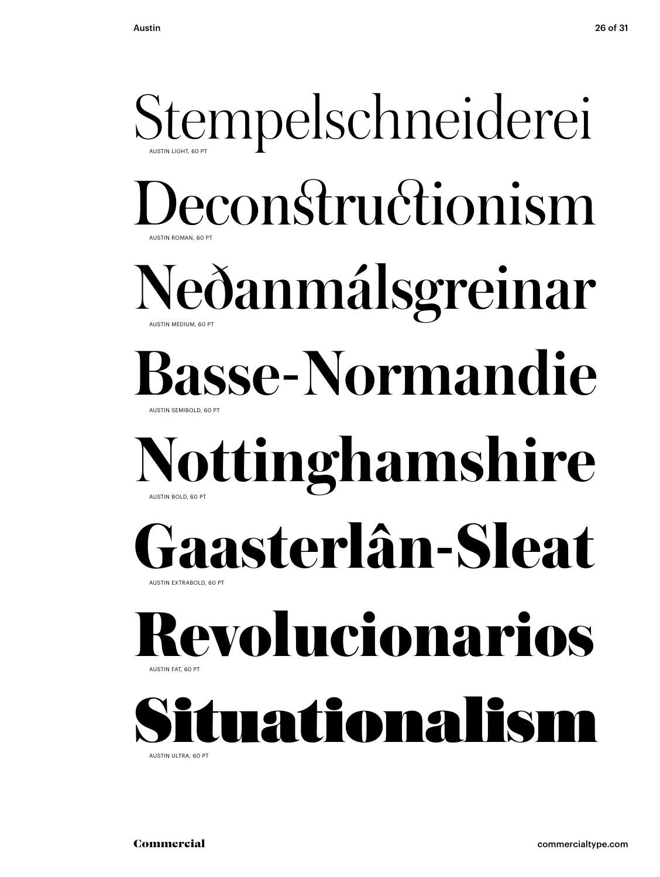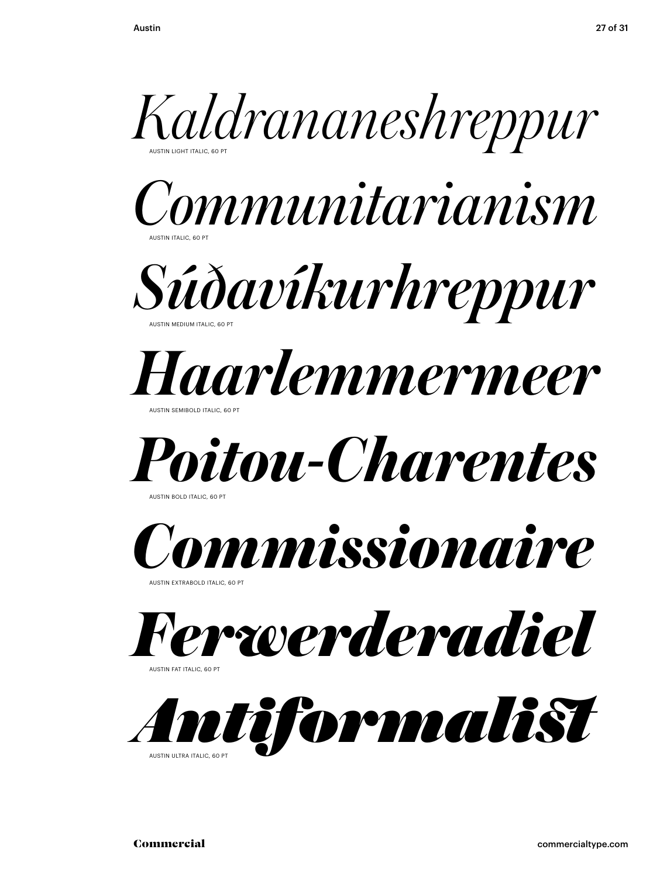







AUSTIN SEMIBOLD ITALIC, 60 PT



AUSTIN BOLD ITALIC, 60 PT



AUSTIN EXTRABOLD ITALIC, 60 PT



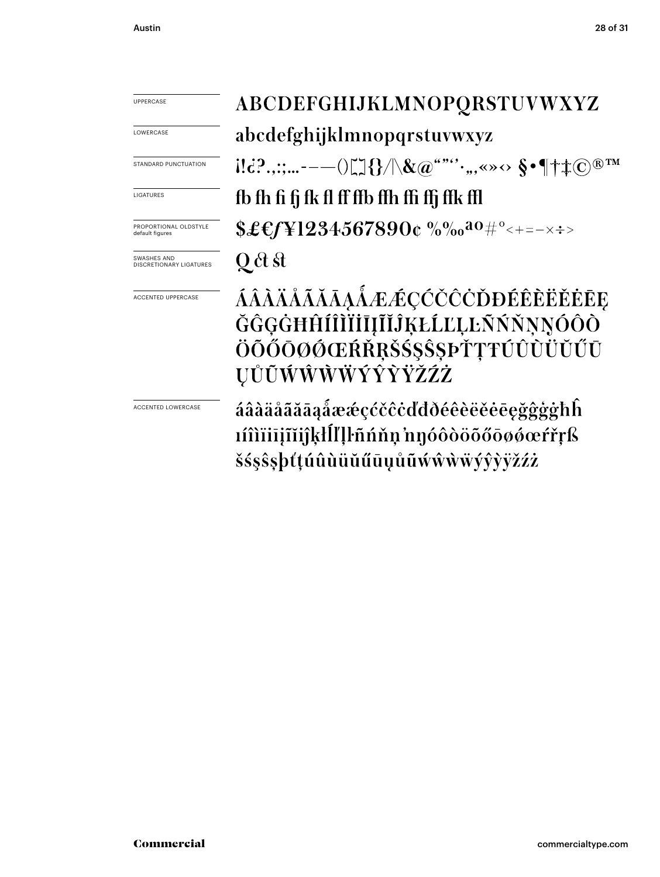| UPPERCASE                                | ABCDEFGHIJKLMNOPQRSTUVWXYZ                                                                                                                                                                                                                                                                                                                                                                                                                                                                                                                                         |
|------------------------------------------|--------------------------------------------------------------------------------------------------------------------------------------------------------------------------------------------------------------------------------------------------------------------------------------------------------------------------------------------------------------------------------------------------------------------------------------------------------------------------------------------------------------------------------------------------------------------|
| LOWERCASE                                | abcdefghijklmnopqrstuvwxyz                                                                                                                                                                                                                                                                                                                                                                                                                                                                                                                                         |
| STANDARD PUNCTUATION                     | $\text{N.}: \mathbb{C}^2 \rightarrow \mathbb{C}^2 \rightarrow \mathbb{C}^2 \rightarrow \mathbb{C}^2 \rightarrow \mathbb{C}^2 \rightarrow \mathbb{C}^2 \rightarrow \mathbb{C}^2 \rightarrow \mathbb{C}^2 \rightarrow \mathbb{C}^2 \rightarrow \mathbb{C}^2 \rightarrow \mathbb{C}^2 \rightarrow \mathbb{C}^2 \rightarrow \mathbb{C}^2 \rightarrow \mathbb{C}^2 \rightarrow \mathbb{C}^2 \rightarrow \mathbb{C}^2 \rightarrow \mathbb{C}^2 \rightarrow \mathbb{C}^2 \rightarrow \mathbb{C}^2 \rightarrow \mathbb{C}^2 \rightarrow \mathbb{C}^2 \rightarrow \mathbb{$ |
| LIGATURES                                | fb fh fi fj fk fl ff ffb ffh ffi ffj ffk ffl                                                                                                                                                                                                                                                                                                                                                                                                                                                                                                                       |
| PROPORTIONAL OLDSTYLE<br>default figures | $$£$ f[¥1234567890¢ %‰ <sup>ao#°</sup> <+=-×÷>                                                                                                                                                                                                                                                                                                                                                                                                                                                                                                                     |
| SWASHES AND<br>DISCRETIONARY LIGATURES   | Q ct st                                                                                                                                                                                                                                                                                                                                                                                                                                                                                                                                                            |
| ACCENTED UPPERCASE                       | ÁÂÀÄÅÃĂĀĄÅÆÆÇĆČĈÒĐÉÊÈËĚĒĘ<br>ĞĜĢĠĦĤÍÎÌĬİĬĮĨĬĴĶŁĹĽĻĿÑŃŇŅŅÓÔÒ<br>ÖÕŐŌØØŒŔŘŖŠŚŞŜŞÞŤŢŦÚÛÙÜŬŰŪ<br>ŲŮŨŴŴŴŴÝŶŶŸŽŹŻ                                                                                                                                                                                                                                                                                                                                                                                                                                                        |
| ACCENTED LOWERCASE                       | áâàäåãããąåææçćčĉċďđðéêèëĕēęğĝģġħĥ<br>1íîìïiijĩijkłĺľļŀñńňņ'nŋóôòöõőōøǿœŕřŗß<br>šśşŝşþťţúûùüŭűūųůũẃŵẁẅýŷỳÿžźż                                                                                                                                                                                                                                                                                                                                                                                                                                                       |
| Commercial                               | commercialtype.com                                                                                                                                                                                                                                                                                                                                                                                                                                                                                                                                                 |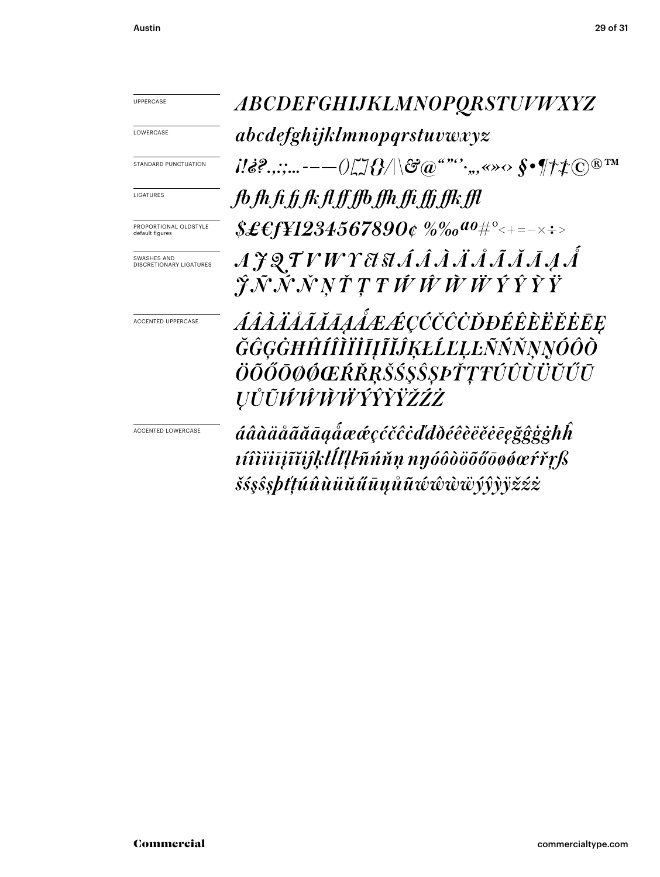LOWERCASE

STANDARD PUNCTUATION

LIGATURES

PROPORTIONAL OLDSTYLE default figures

SWASHES AND DISCRETIONARY LIGATURES

ACCENTED UPPERCASE

ACCENTED LOWERCASE

 $\begin{array}{lll} \hline \multicolumn{3}{c}{\begin{tabular}{c} $\mathbb{R}^n$ & $ABCOEFGHJJKLMNOPQRSTUP\,HYZ \end{tabular}}\hline \multicolumn{3}{c}{\begin{tabular}{c} $\mathbb{R}^n$ & $abcdefghijklmnonopystuvexxyz \end{tabular}}\hline \multicolumn{3}{c}{\begin{tabular}{c} $\mathbb{R}^n$ & $\mathbb{R}^n$ & $\mathbb{R}^n$ & $\mathbb{R}^n$ & $\mathbb{R}^n$ & $\mathbb{R}^n$ & $\mathbb{R}^n$ & $\mathbb{R}^n$ & $\mathbb{R}^n$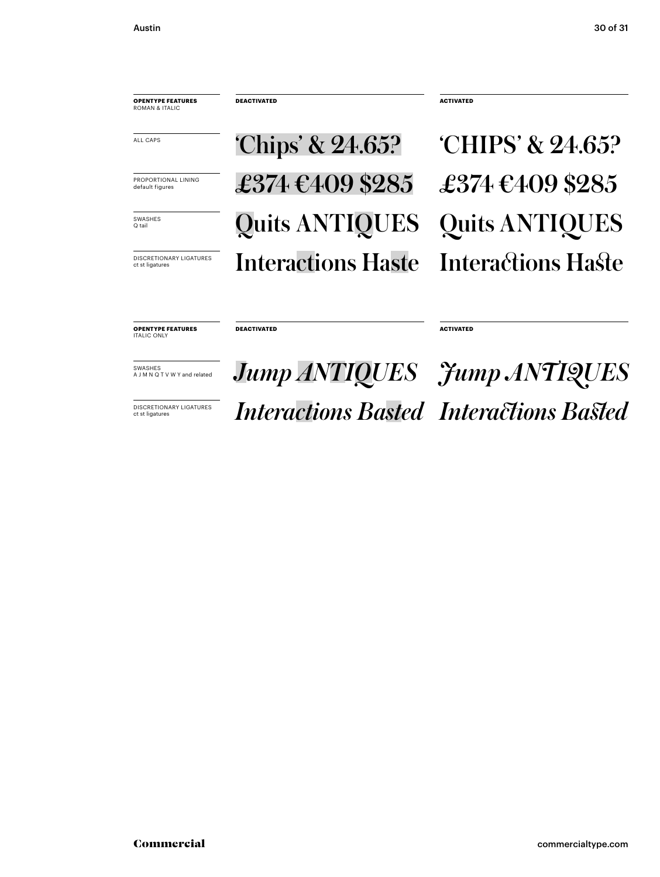**OPENTYPE FEATURES** ROMAN & ITALIC

**DEACTIVATED ACTIVATED**

SVASHES Quits ANTIQUES DISCRETIONARY LIGATURES Interactions Haste Interactions Haste **Interactions Haste Chips' & 24.65?** CHIPS' & 24.65?  $\begin{array}{cc}\n \end{array}\n$  FROPORTIONAL LINING  $\begin{array}{cc}\n \end{array}\n$   $\begin{array}{cc}\n 2374 & \text{E409 $285}\n \end{array}$ 

**DEACTIVATED ACTIVATED**

**OPENTYPE FEATURES** ITALIC ONLY

Commercial Commercial<br>Commercial<br>commercial<br>commercial<br>commercial<br>commercial commercial commercial commercial commercial commercial commercial commercial commercial commercial commercial commercial commercial commercial co  $\frac{1}{\text{SVMR} \cdot \text{S/NN} \cdot \text{M}}$  *Jump ANTIQUES*  $\frac{1}{\text{J} \cdot \text{M}}$  *Jump ANTIQUES* **INSCRETIONARY LIGATURES** *Interactions Basted Interactions Basted*